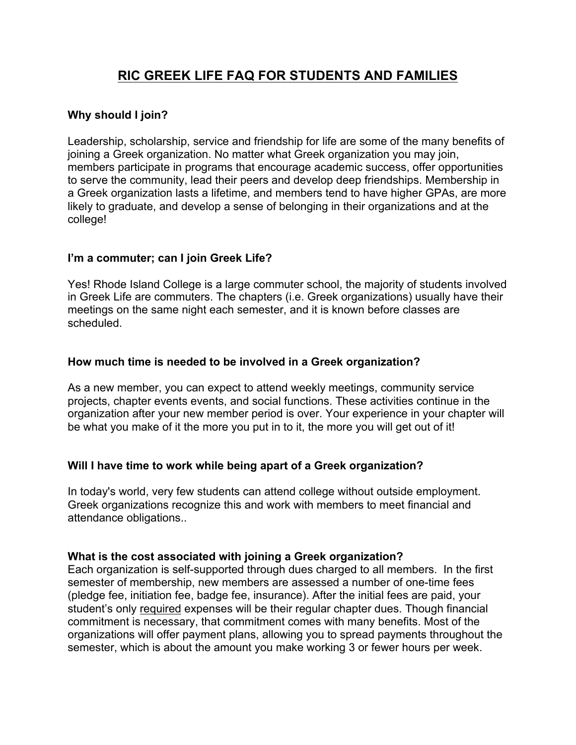# **RIC GREEK LIFE FAQ FOR STUDENTS AND FAMILIES**

#### **Why should I join?**

Leadership, scholarship, service and friendship for life are some of the many benefits of joining a Greek organization. No matter what Greek organization you may join, members participate in programs that encourage academic success, offer opportunities to serve the community, lead their peers and develop deep friendships. Membership in a Greek organization lasts a lifetime, and members tend to have higher GPAs, are more likely to graduate, and develop a sense of belonging in their organizations and at the college!

## **I'm a commuter; can I join Greek Life?**

Yes! Rhode Island College is a large commuter school, the majority of students involved in Greek Life are commuters. The chapters (i.e. Greek organizations) usually have their meetings on the same night each semester, and it is known before classes are scheduled.

## **How much time is needed to be involved in a Greek organization?**

As a new member, you can expect to attend weekly meetings, community service projects, chapter events events, and social functions. These activities continue in the organization after your new member period is over. Your experience in your chapter will be what you make of it the more you put in to it, the more you will get out of it!

#### **Will I have time to work while being apart of a Greek organization?**

In today's world, very few students can attend college without outside employment. Greek organizations recognize this and work with members to meet financial and attendance obligations..

#### **What is the cost associated with joining a Greek organization?**

Each organization is self-supported through dues charged to all members. In the first semester of membership, new members are assessed a number of one-time fees (pledge fee, initiation fee, badge fee, insurance). After the initial fees are paid, your student's only required expenses will be their regular chapter dues. Though financial commitment is necessary, that commitment comes with many benefits. Most of the organizations will offer payment plans, allowing you to spread payments throughout the semester, which is about the amount you make working 3 or fewer hours per week.